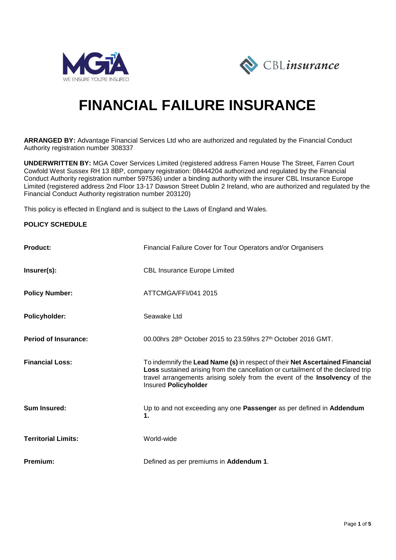



# **FINANCIAL FAILURE INSURANCE**

**ARRANGED BY:** Advantage Financial Services Ltd who are authorized and regulated by the Financial Conduct Authority registration number 308337

**UNDERWRITTEN BY:** MGA Cover Services Limited (registered address Farren House The Street, Farren Court Cowfold West Sussex RH 13 8BP, company registration: 08444204 authorized and regulated by the Financial Conduct Authority registration number 597536) under a binding authority with the insurer CBL Insurance Europe Limited (registered address 2nd Floor 13-17 Dawson Street Dublin 2 Ireland, who are authorized and regulated by the Financial Conduct Authority registration number 203120)

This policy is effected in England and is subject to the Laws of England and Wales.

#### **POLICY SCHEDULE**

| <b>Product:</b>             | Financial Failure Cover for Tour Operators and/or Organisers                                                                                                                                                                                                           |
|-----------------------------|------------------------------------------------------------------------------------------------------------------------------------------------------------------------------------------------------------------------------------------------------------------------|
| Insurer(s):                 | <b>CBL Insurance Europe Limited</b>                                                                                                                                                                                                                                    |
| <b>Policy Number:</b>       | ATTCMGA/FFI/041 2015                                                                                                                                                                                                                                                   |
| Policyholder:               | Seawake Ltd                                                                                                                                                                                                                                                            |
| <b>Period of Insurance:</b> | 00.00hrs $28th$ October 2015 to 23.59hrs $27th$ October 2016 GMT.                                                                                                                                                                                                      |
| <b>Financial Loss:</b>      | To indemnify the Lead Name (s) in respect of their Net Ascertained Financial<br>Loss sustained arising from the cancellation or curtailment of the declared trip<br>travel arrangements arising solely from the event of the Insolvency of the<br>Insured Policyholder |
| <b>Sum Insured:</b>         | Up to and not exceeding any one Passenger as per defined in Addendum<br>1.                                                                                                                                                                                             |
| <b>Territorial Limits:</b>  | World-wide                                                                                                                                                                                                                                                             |
| Premium:                    | Defined as per premiums in Addendum 1.                                                                                                                                                                                                                                 |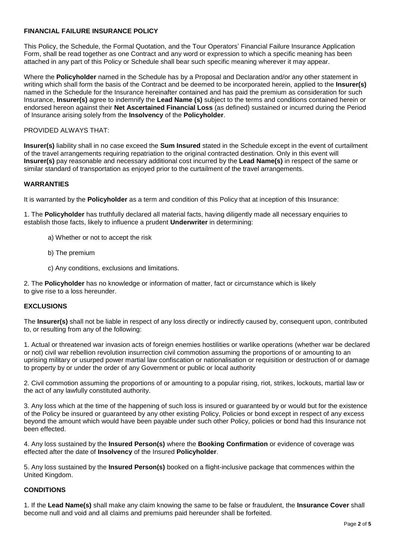#### **FINANCIAL FAILURE INSURANCE POLICY**

This Policy, the Schedule, the Formal Quotation, and the Tour Operators' Financial Failure Insurance Application Form, shall be read together as one Contract and any word or expression to which a specific meaning has been attached in any part of this Policy or Schedule shall bear such specific meaning wherever it may appear.

Where the **Policyholder** named in the Schedule has by a Proposal and Declaration and/or any other statement in writing which shall form the basis of the Contract and be deemed to be incorporated herein, applied to the **Insurer(s)** named in the Schedule for the Insurance hereinafter contained and has paid the premium as consideration for such Insurance, **Insurer(s)** agree to indemnify the **Lead Name (s)** subject to the terms and conditions contained herein or endorsed hereon against their **Net Ascertained Financial Loss** (as defined) sustained or incurred during the Period of Insurance arising solely from the **Insolvency** of the **Policyholder**.

#### PROVIDED ALWAYS THAT:

**Insurer(s)** liability shall in no case exceed the **Sum Insured** stated in the Schedule except in the event of curtailment of the travel arrangements requiring repatriation to the original contracted destination. Only in this event will **Insurer(s)** pay reasonable and necessary additional cost incurred by the **Lead Name(s)** in respect of the same or similar standard of transportation as enjoyed prior to the curtailment of the travel arrangements.

#### **WARRANTIES**

It is warranted by the **Policyholder** as a term and condition of this Policy that at inception of this Insurance:

1. The **Policyholder** has truthfully declared all material facts, having diligently made all necessary enquiries to establish those facts, likely to influence a prudent **Underwriter** in determining:

- a) Whether or not to accept the risk
- b) The premium
- c) Any conditions, exclusions and limitations.

2. The **Policyholder** has no knowledge or information of matter, fact or circumstance which is likely to give rise to a loss hereunder.

#### **EXCLUSIONS**

The **Insurer(s)** shall not be liable in respect of any loss directly or indirectly caused by, consequent upon, contributed to, or resulting from any of the following:

1. Actual or threatened war invasion acts of foreign enemies hostilities or warlike operations (whether war be declared or not) civil war rebellion revolution insurrection civil commotion assuming the proportions of or amounting to an uprising military or usurped power martial law confiscation or nationalisation or requisition or destruction of or damage to property by or under the order of any Government or public or local authority

2. Civil commotion assuming the proportions of or amounting to a popular rising, riot, strikes, lockouts, martial law or the act of any lawfully constituted authority.

3. Any loss which at the time of the happening of such loss is insured or guaranteed by or would but for the existence of the Policy be insured or guaranteed by any other existing Policy, Policies or bond except in respect of any excess beyond the amount which would have been payable under such other Policy, policies or bond had this Insurance not been effected.

4. Any loss sustained by the **Insured Person(s)** where the **Booking Confirmation** or evidence of coverage was effected after the date of **Insolvency** of the Insured **Policyholder**.

5. Any loss sustained by the **Insured Person(s)** booked on a flight-inclusive package that commences within the United Kingdom.

#### **CONDITIONS**

1. If the **Lead Name(s)** shall make any claim knowing the same to be false or fraudulent, the **Insurance Cover** shall become null and void and all claims and premiums paid hereunder shall be forfeited.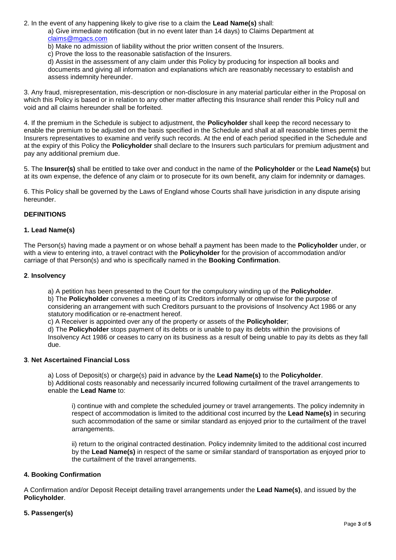2. In the event of any happening likely to give rise to a claim the **Lead Name(s)** shall:

a) Give immediate notification (but in no event later than 14 days) to Claims Department at [claims@mgacs.com](mailto:claims@mgacs.com)

- b) Make no admission of liability without the prior written consent of the Insurers.
- c) Prove the loss to the reasonable satisfaction of the Insurers.

d) Assist in the assessment of any claim under this Policy by producing for inspection all books and documents and giving all information and explanations which are reasonably necessary to establish and assess indemnity hereunder.

3. Any fraud, misrepresentation, mis-description or non-disclosure in any material particular either in the Proposal on which this Policy is based or in relation to any other matter affecting this Insurance shall render this Policy null and void and all claims hereunder shall be forfeited.

4. If the premium in the Schedule is subject to adjustment, the **Policyholder** shall keep the record necessary to enable the premium to be adjusted on the basis specified in the Schedule and shall at all reasonable times permit the Insurers representatives to examine and verify such records. At the end of each period specified in the Schedule and at the expiry of this Policy the **Policyholder** shall declare to the Insurers such particulars for premium adjustment and pay any additional premium due.

5. The **Insurer(s)** shall be entitled to take over and conduct in the name of the **Policyholder** or the **Lead Name(s)** but at its own expense, the defence of any claim or to prosecute for its own benefit, any claim for indemnity or damages.

6. This Policy shall be governed by the Laws of England whose Courts shall have jurisdiction in any dispute arising hereunder.

#### **DEFINITIONS**

#### **1. Lead Name(s)**

The Person(s) having made a payment or on whose behalf a payment has been made to the **Policyholder** under, or with a view to entering into, a travel contract with the **Policyholder** for the provision of accommodation and/or carriage of that Person(s) and who is specifically named in the **Booking Confirmation**.

#### **2**. **Insolvency**

a) A petition has been presented to the Court for the compulsory winding up of the **Policyholder**.

b) The **Policyholder** convenes a meeting of its Creditors informally or otherwise for the purpose of considering an arrangement with such Creditors pursuant to the provisions of Insolvency Act 1986 or any statutory modification or re-enactment hereof.

c) A Receiver is appointed over any of the property or assets of the **Policyholder**;

d) The **Policyholder** stops payment of its debts or is unable to pay its debts within the provisions of Insolvency Act 1986 or ceases to carry on its business as a result of being unable to pay its debts as they fall due.

#### **3**. **Net Ascertained Financial Loss**

a) Loss of Deposit(s) or charge(s) paid in advance by the **Lead Name(s)** to the **Policyholder**. b) Additional costs reasonably and necessarily incurred following curtailment of the travel arrangements to enable the **Lead Name** to:

i) continue with and complete the scheduled journey or travel arrangements. The policy indemnity in respect of accommodation is limited to the additional cost incurred by the **Lead Name(s)** in securing such accommodation of the same or similar standard as enjoyed prior to the curtailment of the travel arrangements.

ii) return to the original contracted destination. Policy indemnity limited to the additional cost incurred by the **Lead Name(s)** in respect of the same or similar standard of transportation as enjoyed prior to the curtailment of the travel arrangements.

#### **4. Booking Confirmation**

A Confirmation and/or Deposit Receipt detailing travel arrangements under the **Lead Name(s)**, and issued by the **Policyholder**.

#### **5. Passenger(s)**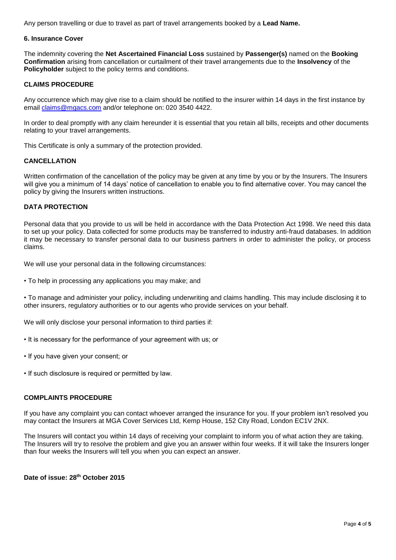Any person travelling or due to travel as part of travel arrangements booked by a **Lead Name.**

#### **6. Insurance Cover**

The indemnity covering the **Net Ascertained Financial Loss** sustained by **Passenger(s)** named on the **Booking Confirmation** arising from cancellation or curtailment of their travel arrangements due to the **Insolvency** of the **Policyholder** subject to the policy terms and conditions.

#### **CLAIMS PROCEDURE**

Any occurrence which may give rise to a claim should be notified to the insurer within 14 days in the first instance by email [claims@mgacs.com](mailto:claims@mgacs.com) and/or telephone on: 020 3540 4422.

In order to deal promptly with any claim hereunder it is essential that you retain all bills, receipts and other documents relating to your travel arrangements.

This Certificate is only a summary of the protection provided.

#### **CANCELLATION**

Written confirmation of the cancellation of the policy may be given at any time by you or by the Insurers. The Insurers will give you a minimum of 14 days' notice of cancellation to enable you to find alternative cover. You may cancel the policy by giving the Insurers written instructions.

#### **DATA PROTECTION**

Personal data that you provide to us will be held in accordance with the Data Protection Act 1998. We need this data to set up your policy. Data collected for some products may be transferred to industry anti-fraud databases. In addition it may be necessary to transfer personal data to our business partners in order to administer the policy, or process claims.

We will use your personal data in the following circumstances:

• To help in processing any applications you may make; and

• To manage and administer your policy, including underwriting and claims handling. This may include disclosing it to other insurers, regulatory authorities or to our agents who provide services on your behalf.

We will only disclose your personal information to third parties if:

- It is necessary for the performance of your agreement with us; or
- If you have given your consent; or
- If such disclosure is required or permitted by law.

#### **COMPLAINTS PROCEDURE**

If you have any complaint you can contact whoever arranged the insurance for you. If your problem isn't resolved you may contact the Insurers at MGA Cover Services Ltd, Kemp House, 152 City Road, London EC1V 2NX.

The Insurers will contact you within 14 days of receiving your complaint to inform you of what action they are taking. The Insurers will try to resolve the problem and give you an answer within four weeks. If it will take the Insurers longer than four weeks the Insurers will tell you when you can expect an answer.

**Date of issue: 28th October 2015**